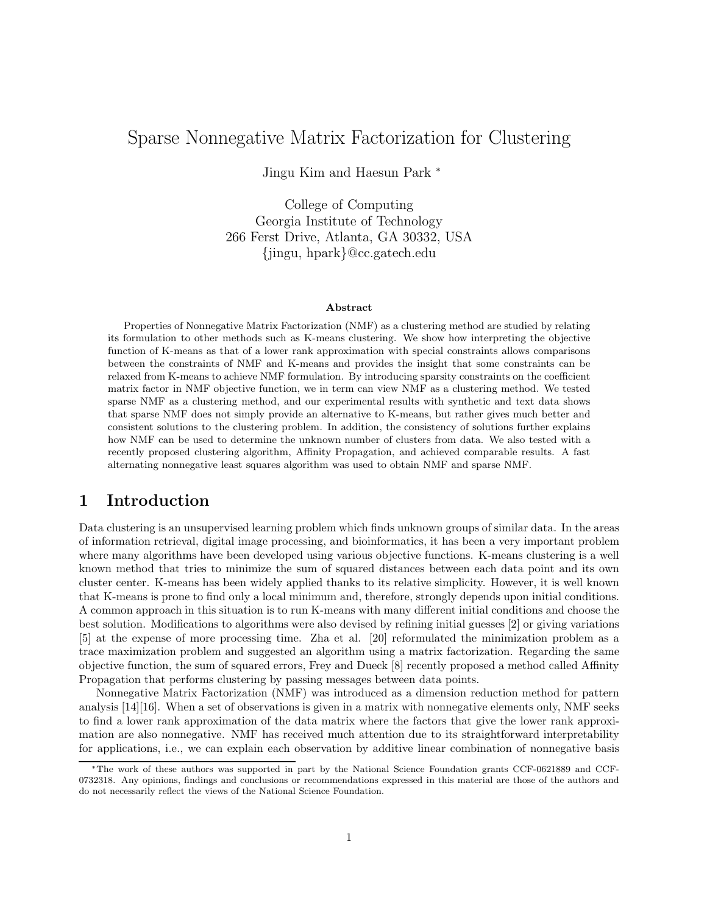# Sparse Nonnegative Matrix Factorization for Clustering

Jingu Kim and Haesun Park <sup>∗</sup>

College of Computing Georgia Institute of Technology 266 Ferst Drive, Atlanta, GA 30332, USA {jingu, hpark}@cc.gatech.edu

#### Abstract

Properties of Nonnegative Matrix Factorization (NMF) as a clustering method are studied by relating its formulation to other methods such as K-means clustering. We show how interpreting the objective function of K-means as that of a lower rank approximation with special constraints allows comparisons between the constraints of NMF and K-means and provides the insight that some constraints can be relaxed from K-means to achieve NMF formulation. By introducing sparsity constraints on the coefficient matrix factor in NMF objective function, we in term can view NMF as a clustering method. We tested sparse NMF as a clustering method, and our experimental results with synthetic and text data shows that sparse NMF does not simply provide an alternative to K-means, but rather gives much better and consistent solutions to the clustering problem. In addition, the consistency of solutions further explains how NMF can be used to determine the unknown number of clusters from data. We also tested with a recently proposed clustering algorithm, Affinity Propagation, and achieved comparable results. A fast alternating nonnegative least squares algorithm was used to obtain NMF and sparse NMF.

## 1 Introduction

Data clustering is an unsupervised learning problem which finds unknown groups of similar data. In the areas of information retrieval, digital image processing, and bioinformatics, it has been a very important problem where many algorithms have been developed using various objective functions. K-means clustering is a well known method that tries to minimize the sum of squared distances between each data point and its own cluster center. K-means has been widely applied thanks to its relative simplicity. However, it is well known that K-means is prone to find only a local minimum and, therefore, strongly depends upon initial conditions. A common approach in this situation is to run K-means with many different initial conditions and choose the best solution. Modifications to algorithms were also devised by refining initial guesses [2] or giving variations [5] at the expense of more processing time. Zha et al. [20] reformulated the minimization problem as a trace maximization problem and suggested an algorithm using a matrix factorization. Regarding the same objective function, the sum of squared errors, Frey and Dueck [8] recently proposed a method called Affinity Propagation that performs clustering by passing messages between data points.

Nonnegative Matrix Factorization (NMF) was introduced as a dimension reduction method for pattern analysis [14][16]. When a set of observations is given in a matrix with nonnegative elements only, NMF seeks to find a lower rank approximation of the data matrix where the factors that give the lower rank approximation are also nonnegative. NMF has received much attention due to its straightforward interpretability for applications, i.e., we can explain each observation by additive linear combination of nonnegative basis

<sup>∗</sup>The work of these authors was supported in part by the National Science Foundation grants CCF-0621889 and CCF-0732318. Any opinions, findings and conclusions or recommendations expressed in this material are those of the authors and do not necessarily reflect the views of the National Science Foundation.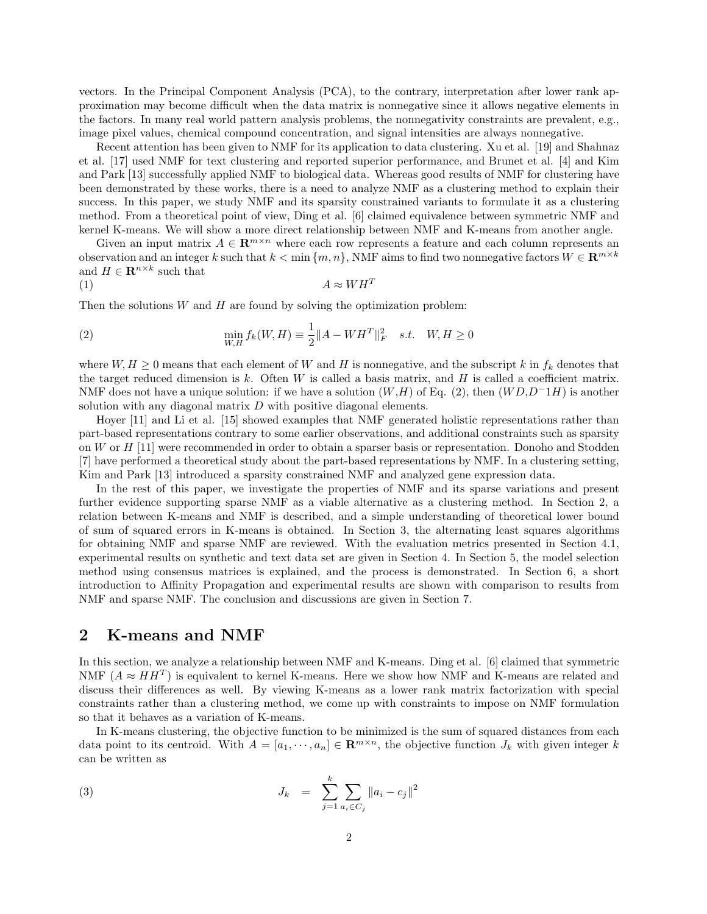vectors. In the Principal Component Analysis (PCA), to the contrary, interpretation after lower rank approximation may become difficult when the data matrix is nonnegative since it allows negative elements in the factors. In many real world pattern analysis problems, the nonnegativity constraints are prevalent, e.g., image pixel values, chemical compound concentration, and signal intensities are always nonnegative.

Recent attention has been given to NMF for its application to data clustering. Xu et al. [19] and Shahnaz et al. [17] used NMF for text clustering and reported superior performance, and Brunet et al. [4] and Kim and Park [13] successfully applied NMF to biological data. Whereas good results of NMF for clustering have been demonstrated by these works, there is a need to analyze NMF as a clustering method to explain their success. In this paper, we study NMF and its sparsity constrained variants to formulate it as a clustering method. From a theoretical point of view, Ding et al. [6] claimed equivalence between symmetric NMF and kernel K-means. We will show a more direct relationship between NMF and K-means from another angle.

Given an input matrix  $A \in \mathbb{R}^{m \times n}$  where each row represents a feature and each column represents an observation and an integer k such that  $k < \min\{m, n\}$ , NMF aims to find two nonnegative factors  $W \in \mathbb{R}^{m \times k}$ and  $H \in \mathbf{R}^{n \times k}$  such that

$$
(1) \t\t A \approx WH^T
$$

Then the solutions  $W$  and  $H$  are found by solving the optimization problem:

(2) 
$$
\min_{W,H} f_k(W,H) \equiv \frac{1}{2} ||A - W H^T||_F^2 \quad s.t. \quad W, H \ge 0
$$

where  $W, H \geq 0$  means that each element of W and H is nonnegative, and the subscript k in  $f_k$  denotes that the target reduced dimension is k. Often  $W$  is called a basis matrix, and  $H$  is called a coefficient matrix. NMF does not have a unique solution: if we have a solution  $(W,H)$  of Eq. (2), then  $(WD,D^{-1}H)$  is another solution with any diagonal matrix  $D$  with positive diagonal elements.

Hoyer [11] and Li et al. [15] showed examples that NMF generated holistic representations rather than part-based representations contrary to some earlier observations, and additional constraints such as sparsity on W or H [11] were recommended in order to obtain a sparser basis or representation. Donoho and Stodden [7] have performed a theoretical study about the part-based representations by NMF. In a clustering setting, Kim and Park [13] introduced a sparsity constrained NMF and analyzed gene expression data.

In the rest of this paper, we investigate the properties of NMF and its sparse variations and present further evidence supporting sparse NMF as a viable alternative as a clustering method. In Section 2, a relation between K-means and NMF is described, and a simple understanding of theoretical lower bound of sum of squared errors in K-means is obtained. In Section 3, the alternating least squares algorithms for obtaining NMF and sparse NMF are reviewed. With the evaluation metrics presented in Section 4.1, experimental results on synthetic and text data set are given in Section 4. In Section 5, the model selection method using consensus matrices is explained, and the process is demonstrated. In Section 6, a short introduction to Affinity Propagation and experimental results are shown with comparison to results from NMF and sparse NMF. The conclusion and discussions are given in Section 7.

### 2 K-means and NMF

In this section, we analyze a relationship between NMF and K-means. Ding et al. [6] claimed that symmetric NMF  $(A \approx HH^T)$  is equivalent to kernel K-means. Here we show how NMF and K-means are related and discuss their differences as well. By viewing K-means as a lower rank matrix factorization with special constraints rather than a clustering method, we come up with constraints to impose on NMF formulation so that it behaves as a variation of K-means.

In K-means clustering, the objective function to be minimized is the sum of squared distances from each data point to its centroid. With  $A = [a_1, \dots, a_n] \in \mathbb{R}^{m \times n}$ , the objective function  $J_k$  with given integer k can be written as

(3) 
$$
J_k = \sum_{j=1}^k \sum_{a_i \in C_j} ||a_i - c_j||^2
$$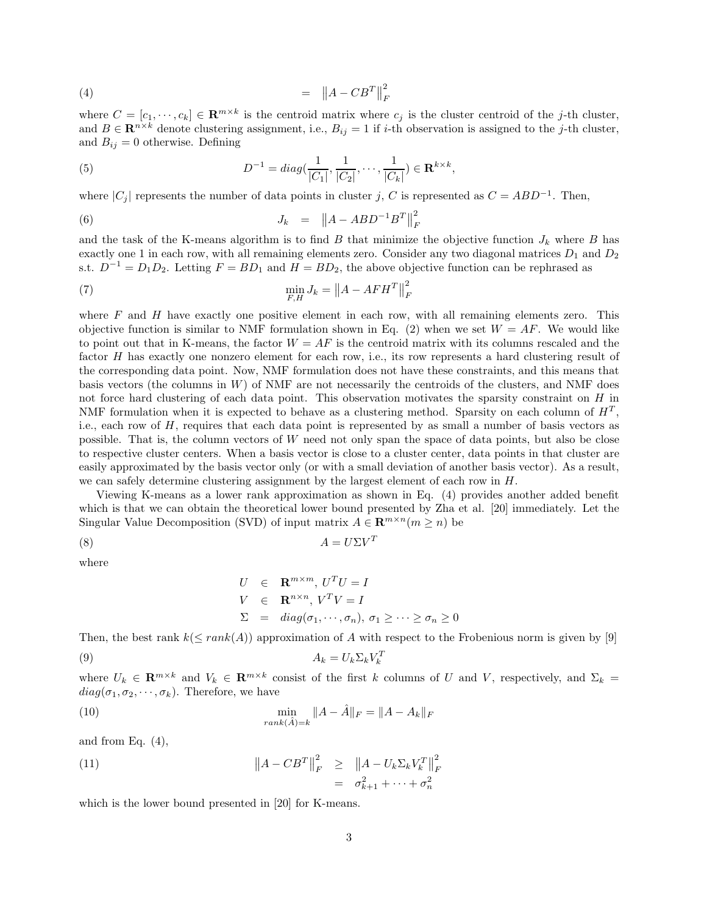$$
(4) \qquad \qquad = \qquad \left\| A - C B^T \right\|_F^2
$$

where  $C = [c_1, \dots, c_k] \in \mathbb{R}^{m \times k}$  is the centroid matrix where  $c_j$  is the cluster centroid of the j-th cluster, and  $B \in \mathbb{R}^{n \times k}$  denote clustering assignment, i.e.,  $B_{ij} = 1$  if *i*-th observation is assigned to the *j*-th cluster, and  $B_{ij} = 0$  otherwise. Defining

(5) 
$$
D^{-1} = diag(\frac{1}{|C_1|}, \frac{1}{|C_2|}, \cdots, \frac{1}{|C_k|}) \in \mathbf{R}^{k \times k},
$$

where  $|C_j|$  represents the number of data points in cluster j, C is represented as  $C = ABD^{-1}$ . Then,

(6) 
$$
J_k = ||A - ABD^{-1}B^T||_F^2
$$

and the task of the K-means algorithm is to find B that minimize the objective function  $J_k$  where B has exactly one 1 in each row, with all remaining elements zero. Consider any two diagonal matrices  $D_1$  and  $D_2$ s.t.  $D^{-1} = D_1 D_2$ . Letting  $F = BD_1$  and  $H = BD_2$ , the above objective function can be rephrased as

$$
\min_{F,H} J_k = \left\| A - AFH^T \right\|_F^2
$$

where  $F$  and  $H$  have exactly one positive element in each row, with all remaining elements zero. This objective function is similar to NMF formulation shown in Eq. (2) when we set  $W = AF$ . We would like to point out that in K-means, the factor  $W = AF$  is the centroid matrix with its columns rescaled and the factor H has exactly one nonzero element for each row, i.e., its row represents a hard clustering result of the corresponding data point. Now, NMF formulation does not have these constraints, and this means that basis vectors (the columns in  $W$ ) of NMF are not necessarily the centroids of the clusters, and NMF does not force hard clustering of each data point. This observation motivates the sparsity constraint on H in NMF formulation when it is expected to behave as a clustering method. Sparsity on each column of  $H<sup>T</sup>$ , i.e., each row of H, requires that each data point is represented by as small a number of basis vectors as possible. That is, the column vectors of W need not only span the space of data points, but also be close to respective cluster centers. When a basis vector is close to a cluster center, data points in that cluster are easily approximated by the basis vector only (or with a small deviation of another basis vector). As a result, we can safely determine clustering assignment by the largest element of each row in  $H$ .

Viewing K-means as a lower rank approximation as shown in Eq. (4) provides another added benefit which is that we can obtain the theoretical lower bound presented by Zha et al. [20] immediately. Let the Singular Value Decomposition (SVD) of input matrix  $A \in \mathbb{R}^{m \times n}$  ( $m \ge n$ ) be

$$
(8) \t\t A = U\Sigma V^T
$$

where

$$
U \in \mathbf{R}^{m \times m}, U^T U = I
$$
  
\n
$$
V \in \mathbf{R}^{n \times n}, V^T V = I
$$
  
\n
$$
\Sigma = diag(\sigma_1, \dots, \sigma_n), \ \sigma_1 \ge \dots \ge \sigma_n \ge 0
$$

Then, the best rank  $k(\leq rank(A))$  approximation of A with respect to the Frobenious norm is given by [9]

$$
(9) \t\t A_k = U_k \Sigma_k V_k^T
$$

where  $U_k \in \mathbf{R}^{m \times k}$  and  $V_k \in \mathbf{R}^{m \times k}$  consist of the first k columns of U and V, respectively, and  $\Sigma_k =$  $diag(\sigma_1, \sigma_2, \cdots, \sigma_k)$ . Therefore, we have

(10) 
$$
\min_{rank(\hat{A})=k} \|A - \hat{A}\|_F = \|A - A_k\|_F
$$

and from Eq.  $(4)$ ,

(11)  
\n
$$
\|A - CB^T\|_F^2 \ge \|A - U_k \Sigma_k V_k^T\|_F^2
$$
\n
$$
= \sigma_{k+1}^2 + \dots + \sigma_n^2
$$

which is the lower bound presented in [20] for K-means.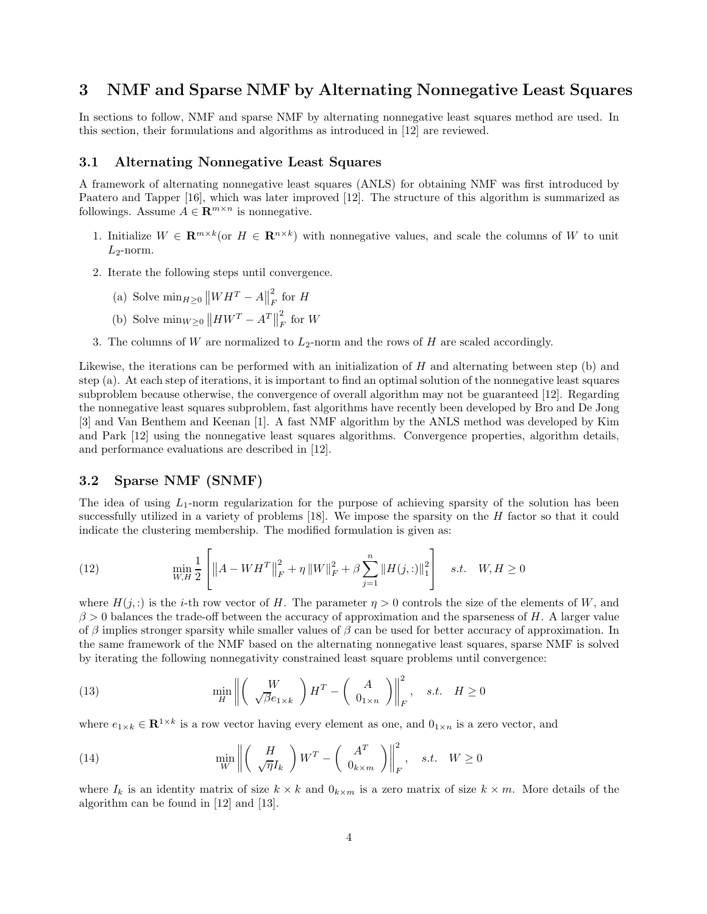### 3 NMF and Sparse NMF by Alternating Nonnegative Least Squares

In sections to follow, NMF and sparse NMF by alternating nonnegative least squares method are used. In this section, their formulations and algorithms as introduced in [12] are reviewed.

#### 3.1 Alternating Nonnegative Least Squares

A framework of alternating nonnegative least squares (ANLS) for obtaining NMF was first introduced by Paatero and Tapper [16], which was later improved [12]. The structure of this algorithm is summarized as followings. Assume  $A \in \mathbb{R}^{m \times n}$  is nonnegative.

- 1. Initialize  $W \in \mathbf{R}^{m \times k}$  (or  $H \in \mathbf{R}^{n \times k}$ ) with nonnegative values, and scale the columns of W to unit  $L_2$ -norm.
- 2. Iterate the following steps until convergence.
	- (a) Solve  $\min_{H\geq 0} ||WH^T A||$ 2  $\int_F^2$  for H
	- (b) Solve  $\min_{W \geq 0} ||HW^T A^T||$ 2  $\int_F^2$  for W
- 3. The columns of W are normalized to  $L_2$ -norm and the rows of H are scaled accordingly.

Likewise, the iterations can be performed with an initialization of  $H$  and alternating between step (b) and step (a). At each step of iterations, it is important to find an optimal solution of the nonnegative least squares subproblem because otherwise, the convergence of overall algorithm may not be guaranteed [12]. Regarding the nonnegative least squares subproblem, fast algorithms have recently been developed by Bro and De Jong [3] and Van Benthem and Keenan [1]. A fast NMF algorithm by the ANLS method was developed by Kim and Park [12] using the nonnegative least squares algorithms. Convergence properties, algorithm details, and performance evaluations are described in [12].

#### 3.2 Sparse NMF (SNMF)

The idea of using  $L_1$ -norm regularization for the purpose of achieving sparsity of the solution has been successfully utilized in a variety of problems [18]. We impose the sparsity on the H factor so that it could indicate the clustering membership. The modified formulation is given as:

(12) 
$$
\min_{W,H} \frac{1}{2} \left[ \|A - W H^T\|_F^2 + \eta \|W\|_F^2 + \beta \sum_{j=1}^n \|H(j,:)\|_1^2 \right] \quad s.t. \quad W, H \ge 0
$$

where  $H(j,.)$  is the *i*-th row vector of H. The parameter  $\eta > 0$  controls the size of the elements of W, and  $\beta > 0$  balances the trade-off between the accuracy of approximation and the sparseness of H. A larger value of β implies stronger sparsity while smaller values of β can be used for better accuracy of approximation. In the same framework of the NMF based on the alternating nonnegative least squares, sparse NMF is solved by iterating the following nonnegativity constrained least square problems until convergence:

(13) 
$$
\min_{H} \left\| \left( \begin{array}{c} W \\ \sqrt{\beta}e_{1\times k} \end{array} \right) H^{T} - \left( \begin{array}{c} A \\ 0_{1\times n} \end{array} \right) \right\|_{F}^{2}, \quad s.t. \quad H \ge 0
$$

where  $e_{1\times k} \in \mathbf{R}^{1\times k}$  is a row vector having every element as one, and  $0_{1\times n}$  is a zero vector, and

(14) 
$$
\min_{W} \left\| \left( \frac{H}{\sqrt{\eta} I_k} \right) W^T - \left( \frac{A^T}{0_{k \times m}} \right) \right\|_F^2, \quad s.t. \quad W \ge 0
$$

where  $I_k$  is an identity matrix of size  $k \times k$  and  $0_{k \times m}$  is a zero matrix of size  $k \times m$ . More details of the algorithm can be found in [12] and [13].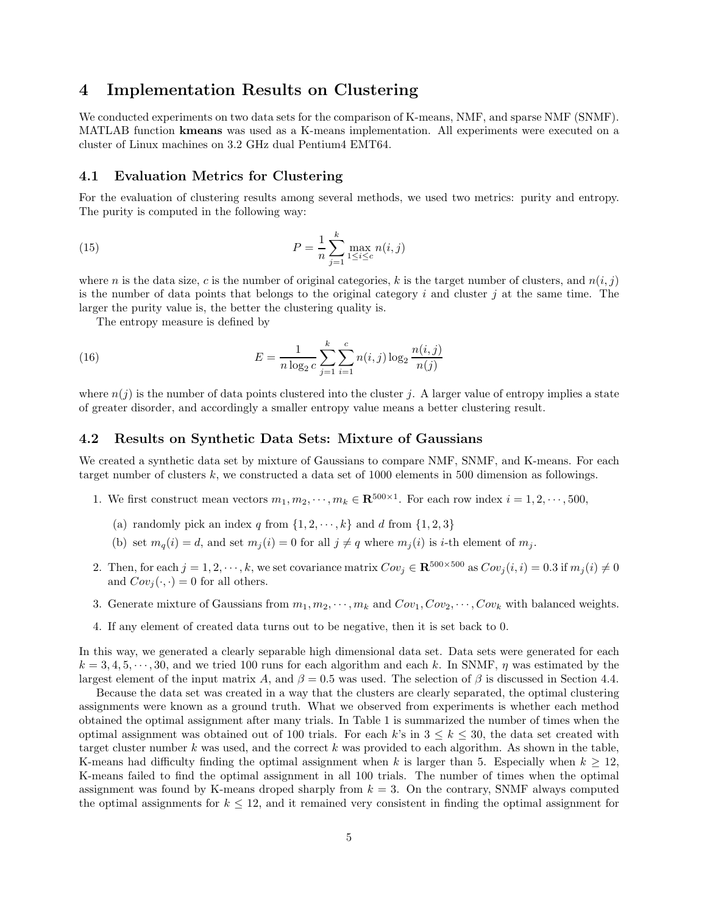### 4 Implementation Results on Clustering

We conducted experiments on two data sets for the comparison of K-means, NMF, and sparse NMF (SNMF). MATLAB function kmeans was used as a K-means implementation. All experiments were executed on a cluster of Linux machines on 3.2 GHz dual Pentium4 EMT64.

#### 4.1 Evaluation Metrics for Clustering

For the evaluation of clustering results among several methods, we used two metrics: purity and entropy. The purity is computed in the following way:

(15) 
$$
P = \frac{1}{n} \sum_{j=1}^{k} \max_{1 \leq i \leq c} n(i, j)
$$

where n is the data size, c is the number of original categories, k is the target number of clusters, and  $n(i, j)$ is the number of data points that belongs to the original category i and cluster j at the same time. The larger the purity value is, the better the clustering quality is.

The entropy measure is defined by

(16) 
$$
E = \frac{1}{n \log_2 c} \sum_{j=1}^k \sum_{i=1}^c n(i,j) \log_2 \frac{n(i,j)}{n(j)}
$$

where  $n(j)$  is the number of data points clustered into the cluster j. A larger value of entropy implies a state of greater disorder, and accordingly a smaller entropy value means a better clustering result.

#### 4.2 Results on Synthetic Data Sets: Mixture of Gaussians

We created a synthetic data set by mixture of Gaussians to compare NMF, SNMF, and K-means. For each target number of clusters  $k$ , we constructed a data set of 1000 elements in 500 dimension as followings.

- 1. We first construct mean vectors  $m_1, m_2, \dots, m_k \in \mathbb{R}^{500 \times 1}$ . For each row index  $i = 1, 2, \dots, 500$ ,
	- (a) randomly pick an index q from  $\{1, 2, \dots, k\}$  and d from  $\{1, 2, 3\}$
	- (b) set  $m_q(i) = d$ , and set  $m_i(i) = 0$  for all  $j \neq q$  where  $m_i(i)$  is *i*-th element of  $m_j$ .
- 2. Then, for each  $j = 1, 2, \dots, k$ , we set covariance matrix  $Cov_i \in \mathbb{R}^{500 \times 500}$  as  $Cov_i(i, i) = 0.3$  if  $m_i(i) \neq 0$ and  $Cov_i(\cdot, \cdot) = 0$  for all others.
- 3. Generate mixture of Gaussians from  $m_1, m_2, \cdots, m_k$  and  $Cov_1, Cov_2, \cdots, Cov_k$  with balanced weights.
- 4. If any element of created data turns out to be negative, then it is set back to 0.

In this way, we generated a clearly separable high dimensional data set. Data sets were generated for each  $k = 3, 4, 5, \dots, 30$ , and we tried 100 runs for each algorithm and each k. In SNMF,  $\eta$  was estimated by the largest element of the input matrix A, and  $\beta = 0.5$  was used. The selection of  $\beta$  is discussed in Section 4.4.

Because the data set was created in a way that the clusters are clearly separated, the optimal clustering assignments were known as a ground truth. What we observed from experiments is whether each method obtained the optimal assignment after many trials. In Table 1 is summarized the number of times when the optimal assignment was obtained out of 100 trials. For each k's in  $3 \leq k \leq 30$ , the data set created with target cluster number  $k$  was used, and the correct  $k$  was provided to each algorithm. As shown in the table, K-means had difficulty finding the optimal assignment when k is larger than 5. Especially when  $k \geq 12$ , K-means failed to find the optimal assignment in all 100 trials. The number of times when the optimal assignment was found by K-means droped sharply from  $k = 3$ . On the contrary, SNMF always computed the optimal assignments for  $k \leq 12$ , and it remained very consistent in finding the optimal assignment for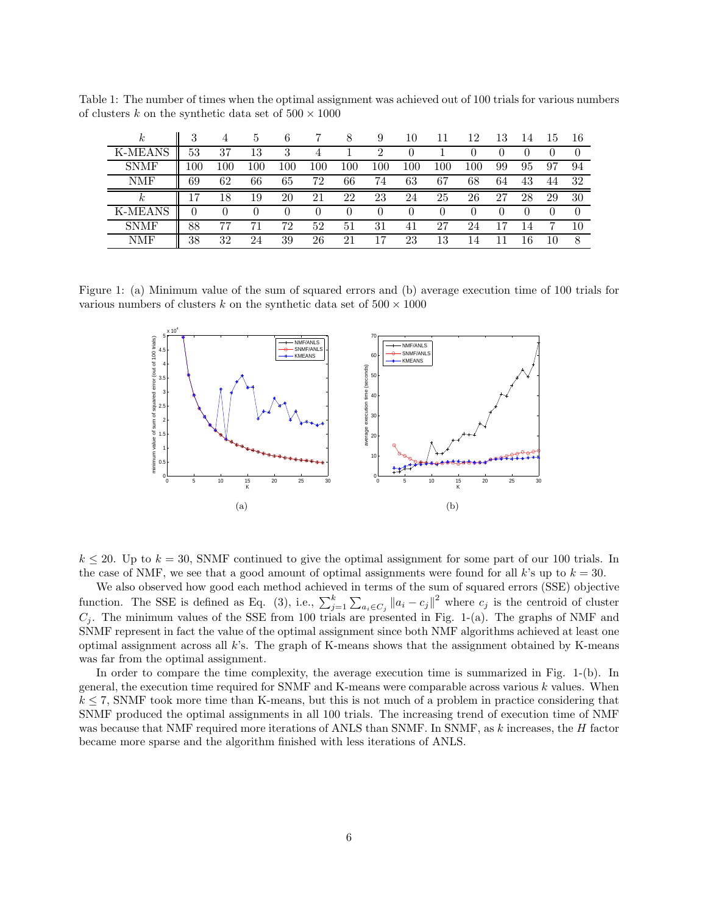Table 1: The number of times when the optimal assignment was achieved out of 100 trials for various numbers of clusters k on the synthetic data set of  $500 \times 1000$ 

| $\sim$         | 3       |     | <sub>5</sub> | 6            |     | 8   | 9   | 10      |        | 12  | 13 |    | ТÐ | 16 |
|----------------|---------|-----|--------------|--------------|-----|-----|-----|---------|--------|-----|----|----|----|----|
| <b>K-MEANS</b> | 53      | 37  | 13           | 3            |     |     |     |         |        |     |    |    |    |    |
| <b>SNMF</b>    | $100\,$ | 100 | 100          | 100          | 100 | 100 | 100 | $100\,$ | 100    | 100 | 99 | 95 | 97 | 94 |
| NMF            | 69      | 62  | 66           | 65           | 72  | 66  | 74  | 63      | 67     | 68  | 64 | 43 | 44 | 32 |
|                |         |     |              |              |     |     |     |         |        |     |    |    |    |    |
| к              |         | 18  | 19           | 20           | 21  | 22  | 23  | 24      | 25     | 26  | 27 | 28 | 29 | 30 |
| <b>K-MEANS</b> |         |     |              | $\mathbf{0}$ |     |     | 0   |         | $\cup$ |     |    |    |    |    |
| <b>SNMF</b>    | 88      | 77  | 71           | 72           | 52  | 51  | 31  |         | 27     | 24  |    |    |    | 10 |

Figure 1: (a) Minimum value of the sum of squared errors and (b) average execution time of 100 trials for various numbers of clusters k on the synthetic data set of  $500 \times 1000$ 



 $k \le 20$ . Up to  $k = 30$ , SNMF continued to give the optimal assignment for some part of our 100 trials. In the case of NMF, we see that a good amount of optimal assignments were found for all k's up to  $k = 30$ .

We also observed how good each method achieved in terms of the sum of squared errors (SSE) objective function. The SSE is defined as Eq. (3), i.e.,  $\sum_{j=1}^{k} \sum_{a_i \in C_j} ||a_i - c_j||^2$  where  $c_j$  is the centroid of cluster  $C_j$ . The minimum values of the SSE from 100 trials are presented in Fig. 1-(a). The graphs of NMF and SNMF represent in fact the value of the optimal assignment since both NMF algorithms achieved at least one optimal assignment across all k's. The graph of K-means shows that the assignment obtained by K-means was far from the optimal assignment.

In order to compare the time complexity, the average execution time is summarized in Fig. 1-(b). In general, the execution time required for SNMF and K-means were comparable across various k values. When  $k \le 7$ , SNMF took more time than K-means, but this is not much of a problem in practice considering that SNMF produced the optimal assignments in all 100 trials. The increasing trend of execution time of NMF was because that NMF required more iterations of ANLS than SNMF. In SNMF, as k increases, the H factor became more sparse and the algorithm finished with less iterations of ANLS.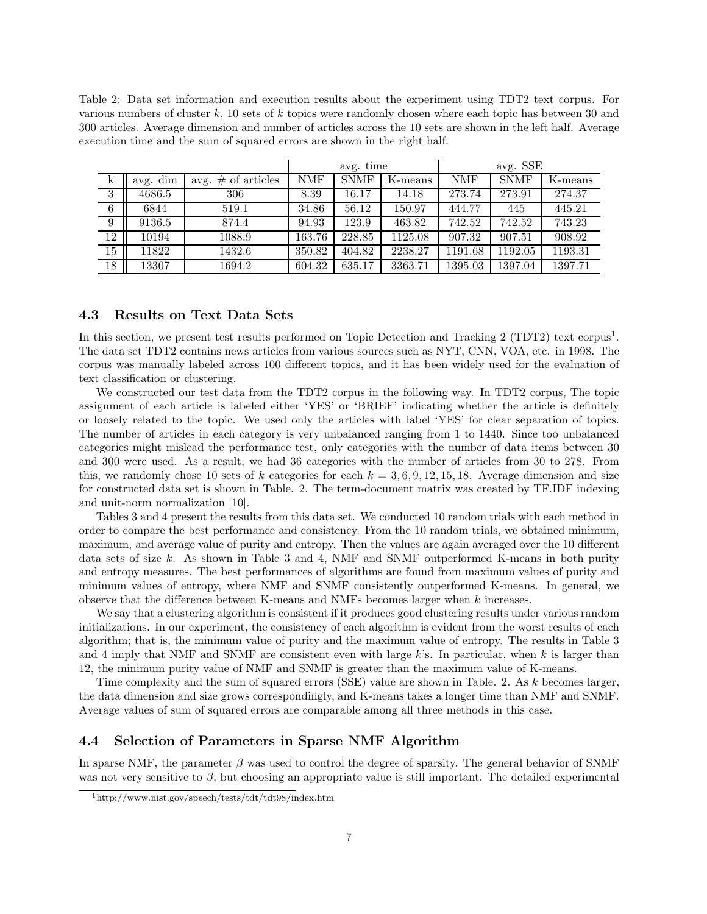Table 2: Data set information and execution results about the experiment using TDT2 text corpus. For various numbers of cluster  $k$ , 10 sets of k topics were randomly chosen where each topic has between 30 and 300 articles. Average dimension and number of articles across the 10 sets are shown in the left half. Average execution time and the sum of squared errors are shown in the right half.

|    |          |                       |        | avg. time   |         |            | avg. SSE    |         |  |
|----|----------|-----------------------|--------|-------------|---------|------------|-------------|---------|--|
| k  | avg. dim | avg. $\#$ of articles | NMF    | <b>SNMF</b> | K-means | <b>NMF</b> | <b>SNMF</b> | K-means |  |
| 3  | 4686.5   | 306                   | 8.39   | 16.17       | 14.18   | 273.74     | 273.91      | 274.37  |  |
| 6  | 6844     | 519.1                 | 34.86  | 56.12       | 150.97  | 444.77     | 445         | 445.21  |  |
| 9  | 9136.5   | 874.4                 | 94.93  | 123.9       | 463.82  | 742.52     | 742.52      | 743.23  |  |
| 12 | 10194    | 1088.9                | 163.76 | 228.85      | 1125.08 | 907.32     | 907.51      | 908.92  |  |
| 15 | 11822    | 1432.6                | 350.82 | 404.82      | 2238.27 | 1191.68    | 1192.05     | 1193.31 |  |
| 18 | 13307    | 1694.2                | 604.32 | 635.17      | 3363.71 | 1395.03    | 1397.04     | 1397.71 |  |

#### 4.3 Results on Text Data Sets

In this section, we present test results performed on Topic Detection and Tracking 2 (TDT2) text corpus<sup>1</sup>. The data set TDT2 contains news articles from various sources such as NYT, CNN, VOA, etc. in 1998. The corpus was manually labeled across 100 different topics, and it has been widely used for the evaluation of text classification or clustering.

We constructed our test data from the TDT2 corpus in the following way. In TDT2 corpus, The topic assignment of each article is labeled either 'YES' or 'BRIEF' indicating whether the article is definitely or loosely related to the topic. We used only the articles with label 'YES' for clear separation of topics. The number of articles in each category is very unbalanced ranging from 1 to 1440. Since too unbalanced categories might mislead the performance test, only categories with the number of data items between 30 and 300 were used. As a result, we had 36 categories with the number of articles from 30 to 278. From this, we randomly chose 10 sets of k categories for each  $k = 3, 6, 9, 12, 15, 18$ . Average dimension and size for constructed data set is shown in Table. 2. The term-document matrix was created by TF.IDF indexing and unit-norm normalization [10].

Tables 3 and 4 present the results from this data set. We conducted 10 random trials with each method in order to compare the best performance and consistency. From the 10 random trials, we obtained minimum, maximum, and average value of purity and entropy. Then the values are again averaged over the 10 different data sets of size  $k$ . As shown in Table 3 and 4, NMF and SNMF outperformed K-means in both purity and entropy measures. The best performances of algorithms are found from maximum values of purity and minimum values of entropy, where NMF and SNMF consistently outperformed K-means. In general, we observe that the difference between K-means and NMFs becomes larger when k increases.

We say that a clustering algorithm is consistent if it produces good clustering results under various random initializations. In our experiment, the consistency of each algorithm is evident from the worst results of each algorithm; that is, the minimum value of purity and the maximum value of entropy. The results in Table 3 and 4 imply that NMF and SNMF are consistent even with large  $k$ 's. In particular, when k is larger than 12, the minimum purity value of NMF and SNMF is greater than the maximum value of K-means.

Time complexity and the sum of squared errors (SSE) value are shown in Table. 2. As k becomes larger, the data dimension and size grows correspondingly, and K-means takes a longer time than NMF and SNMF. Average values of sum of squared errors are comparable among all three methods in this case.

### 4.4 Selection of Parameters in Sparse NMF Algorithm

In sparse NMF, the parameter  $\beta$  was used to control the degree of sparsity. The general behavior of SNMF was not very sensitive to  $\beta$ , but choosing an appropriate value is still important. The detailed experimental

<sup>1</sup>http://www.nist.gov/speech/tests/tdt/tdt98/index.htm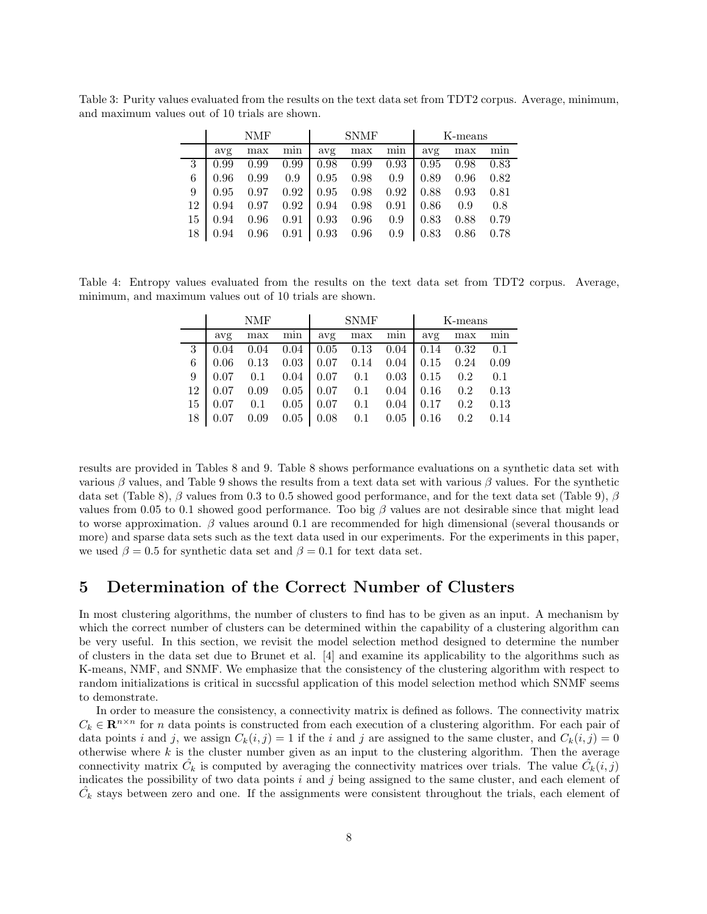|    | <b>NMF</b> |      |      | <b>SNMF</b> |      |      | K-means |      |      |
|----|------------|------|------|-------------|------|------|---------|------|------|
|    | avg        | max  | mın  | avg         | max  | min  | avg     | max  | min  |
| 3  | 0.99       | 0.99 | 0.99 | 0.98        | 0.99 | 0.93 | 0.95    | 0.98 | 0.83 |
| 6  | 0.96       | 0.99 | 0.9  | 0.95        | 0.98 | 0.9  | 0.89    | 0.96 | 0.82 |
| 9  | 0.95       | 0.97 | 0.92 | 0.95        | 0.98 | 0.92 | 0.88    | 0.93 | 0.81 |
| 12 | 0.94       | 0.97 | 0.92 | 0.94        | 0.98 | 0.91 | 0.86    | 0.9  | 0.8  |
| 15 | 0.94       | 0.96 | 0.91 | 0.93        | 0.96 | 0.9  | 0.83    | 0.88 | 0.79 |
| 18 | 0.94       | 0.96 | 0.91 | 0.93        | 0.96 | 0.9  | 0.83    | 0.86 | 0.78 |

Table 3: Purity values evaluated from the results on the text data set from TDT2 corpus. Average, minimum, and maximum values out of 10 trials are shown.

Table 4: Entropy values evaluated from the results on the text data set from TDT2 corpus. Average, minimum, and maximum values out of 10 trials are shown.

|    | NMF  |      |        |      | <b>SNMF</b> |      | K-means |      |      |
|----|------|------|--------|------|-------------|------|---------|------|------|
|    | avg  | max  | $\min$ | avg  | max         | min  | avg     | max  | min  |
| 3  | 0.04 | 0.04 | 0.04   | 0.05 | 0.13        | 0.04 | 0.14    | 0.32 | 0.1  |
| 6  | 0.06 | 0.13 | 0.03   | 0.07 | 0.14        | 0.04 | 0.15    | 0.24 | 0.09 |
| 9  | 0.07 | 0.1  | 0.04   | 0.07 | 0.1         | 0.03 | 0.15    | 0.2  | 0.1  |
| 12 | 0.07 | 0.09 | 0.05   | 0.07 | 0.1         | 0.04 | 0.16    | 0.2  | 0.13 |
| 15 | 0.07 | 0.1  | 0.05   | 0.07 | 0.1         | 0.04 | 0.17    | 0.2  | 0.13 |
| 18 |      | 0.09 | 0.05   | 0.08 | 0.1         | 0.05 | 0.16    | 0.2  | 0.14 |

results are provided in Tables 8 and 9. Table 8 shows performance evaluations on a synthetic data set with various β values, and Table 9 shows the results from a text data set with various β values. For the synthetic data set (Table 8),  $\beta$  values from 0.3 to 0.5 showed good performance, and for the text data set (Table 9),  $\beta$ values from 0.05 to 0.1 showed good performance. Too big  $\beta$  values are not desirable since that might lead to worse approximation.  $\beta$  values around 0.1 are recommended for high dimensional (several thousands or more) and sparse data sets such as the text data used in our experiments. For the experiments in this paper, we used  $\beta = 0.5$  for synthetic data set and  $\beta = 0.1$  for text data set.

### 5 Determination of the Correct Number of Clusters

In most clustering algorithms, the number of clusters to find has to be given as an input. A mechanism by which the correct number of clusters can be determined within the capability of a clustering algorithm can be very useful. In this section, we revisit the model selection method designed to determine the number of clusters in the data set due to Brunet et al. [4] and examine its applicability to the algorithms such as K-means, NMF, and SNMF. We emphasize that the consistency of the clustering algorithm with respect to random initializations is critical in succssful application of this model selection method which SNMF seems to demonstrate.

In order to measure the consistency, a connectivity matrix is defined as follows. The connectivity matrix  $C_k \in \mathbf{R}^{n \times n}$  for n data points is constructed from each execution of a clustering algorithm. For each pair of data points i and j, we assign  $C_k(i, j) = 1$  if the i and j are assigned to the same cluster, and  $C_k(i, j) = 0$ otherwise where  $k$  is the cluster number given as an input to the clustering algorithm. Then the average connectivity matrix  $\hat{C}_k$  is computed by averaging the connectivity matrices over trials. The value  $\hat{C}_k(i,j)$ indicates the possibility of two data points  $i$  and  $j$  being assigned to the same cluster, and each element of  $\hat{C}_k$  stays between zero and one. If the assignments were consistent throughout the trials, each element of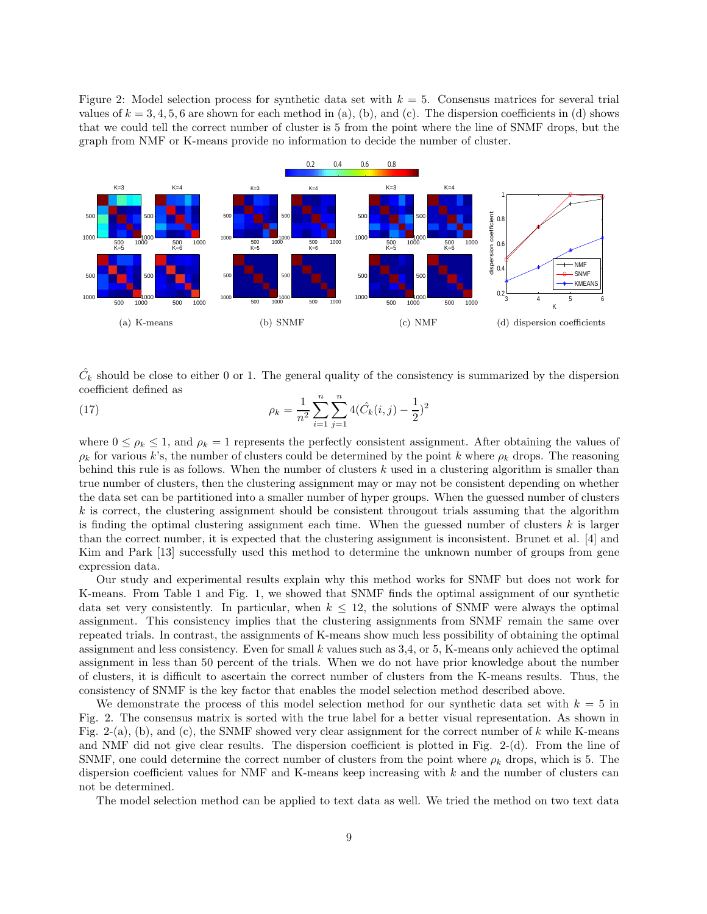Figure 2: Model selection process for synthetic data set with  $k = 5$ . Consensus matrices for several trial values of  $k = 3, 4, 5, 6$  are shown for each method in (a), (b), and (c). The dispersion coefficients in (d) shows that we could tell the correct number of cluster is 5 from the point where the line of SNMF drops, but the graph from NMF or K-means provide no information to decide the number of cluster.



 $\hat{C}_k$  should be close to either 0 or 1. The general quality of the consistency is summarized by the dispersion coefficient defined as

(17) 
$$
\rho_k = \frac{1}{n^2} \sum_{i=1}^n \sum_{j=1}^n 4(\hat{C}_k(i,j) - \frac{1}{2})^2
$$

where  $0 \le \rho_k \le 1$ , and  $\rho_k = 1$  represents the perfectly consistent assignment. After obtaining the values of  $\rho_k$  for various k's, the number of clusters could be determined by the point k where  $\rho_k$  drops. The reasoning behind this rule is as follows. When the number of clusters  $k$  used in a clustering algorithm is smaller than true number of clusters, then the clustering assignment may or may not be consistent depending on whether the data set can be partitioned into a smaller number of hyper groups. When the guessed number of clusters  $k$  is correct, the clustering assignment should be consistent througout trials assuming that the algorithm is finding the optimal clustering assignment each time. When the guessed number of clusters k is larger than the correct number, it is expected that the clustering assignment is inconsistent. Brunet et al. [4] and Kim and Park [13] successfully used this method to determine the unknown number of groups from gene expression data.

Our study and experimental results explain why this method works for SNMF but does not work for K-means. From Table 1 and Fig. 1, we showed that SNMF finds the optimal assignment of our synthetic data set very consistently. In particular, when  $k \leq 12$ , the solutions of SNMF were always the optimal assignment. This consistency implies that the clustering assignments from SNMF remain the same over repeated trials. In contrast, the assignments of K-means show much less possibility of obtaining the optimal assignment and less consistency. Even for small k values such as 3,4, or 5, K-means only achieved the optimal assignment in less than 50 percent of the trials. When we do not have prior knowledge about the number of clusters, it is difficult to ascertain the correct number of clusters from the K-means results. Thus, the consistency of SNMF is the key factor that enables the model selection method described above.

We demonstrate the process of this model selection method for our synthetic data set with  $k = 5$  in Fig. 2. The consensus matrix is sorted with the true label for a better visual representation. As shown in Fig. 2-(a), (b), and (c), the SNMF showed very clear assignment for the correct number of k while K-means and NMF did not give clear results. The dispersion coefficient is plotted in Fig. 2-(d). From the line of SNMF, one could determine the correct number of clusters from the point where  $\rho_k$  drops, which is 5. The dispersion coefficient values for NMF and K-means keep increasing with  $k$  and the number of clusters can not be determined.

The model selection method can be applied to text data as well. We tried the method on two text data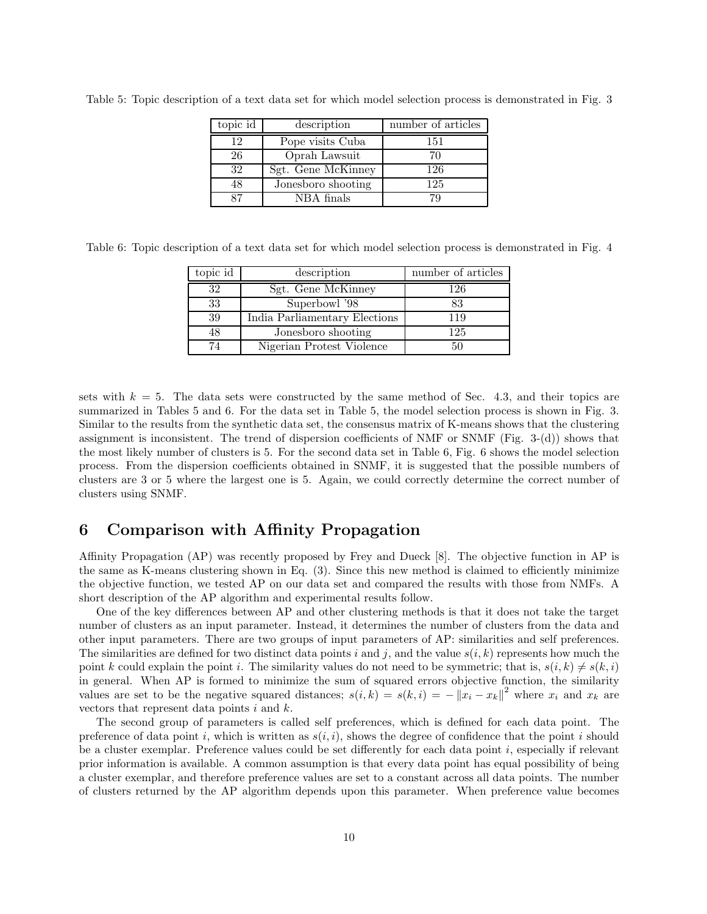| topic id | description        | number of articles |
|----------|--------------------|--------------------|
| 12       | Pope visits Cuba   | 151                |
| 26       | Oprah Lawsuit      | 70                 |
| 32       | Sgt. Gene McKinney | 126                |
| 48       | Jonesboro shooting | 125                |
| 87       | NBA finals         | 79                 |

Table 5: Topic description of a text data set for which model selection process is demonstrated in Fig. 3

Table 6: Topic description of a text data set for which model selection process is demonstrated in Fig. 4

| topic id | description                   | number of articles |
|----------|-------------------------------|--------------------|
| 32       | Sgt. Gene McKinney            | 126                |
| 33       | Superbowl '98                 | 83                 |
| 39       | India Parliamentary Elections | 119                |
| 48       | Jonesboro shooting            | 125                |
| 74       | Nigerian Protest Violence     | 50                 |

sets with  $k = 5$ . The data sets were constructed by the same method of Sec. 4.3, and their topics are summarized in Tables 5 and 6. For the data set in Table 5, the model selection process is shown in Fig. 3. Similar to the results from the synthetic data set, the consensus matrix of K-means shows that the clustering assignment is inconsistent. The trend of dispersion coefficients of NMF or SNMF (Fig. 3-(d)) shows that the most likely number of clusters is 5. For the second data set in Table 6, Fig. 6 shows the model selection process. From the dispersion coefficients obtained in SNMF, it is suggested that the possible numbers of clusters are 3 or 5 where the largest one is 5. Again, we could correctly determine the correct number of clusters using SNMF.

### 6 Comparison with Affinity Propagation

Affinity Propagation (AP) was recently proposed by Frey and Dueck [8]. The objective function in AP is the same as K-means clustering shown in Eq. (3). Since this new method is claimed to efficiently minimize the objective function, we tested AP on our data set and compared the results with those from NMFs. A short description of the AP algorithm and experimental results follow.

One of the key differences between AP and other clustering methods is that it does not take the target number of clusters as an input parameter. Instead, it determines the number of clusters from the data and other input parameters. There are two groups of input parameters of AP: similarities and self preferences. The similarities are defined for two distinct data points i and j, and the value  $s(i, k)$  represents how much the point k could explain the point i. The similarity values do not need to be symmetric; that is,  $s(i, k) \neq s(k, i)$ in general. When AP is formed to minimize the sum of squared errors objective function, the similarity values are set to be the negative squared distances;  $s(i,k) = s(k,i) = -||x_i - x_k||^2$  where  $x_i$  and  $x_k$  are vectors that represent data points  $i$  and  $k$ .

The second group of parameters is called self preferences, which is defined for each data point. The preference of data point i, which is written as  $s(i, i)$ , shows the degree of confidence that the point i should be a cluster exemplar. Preference values could be set differently for each data point i, especially if relevant prior information is available. A common assumption is that every data point has equal possibility of being a cluster exemplar, and therefore preference values are set to a constant across all data points. The number of clusters returned by the AP algorithm depends upon this parameter. When preference value becomes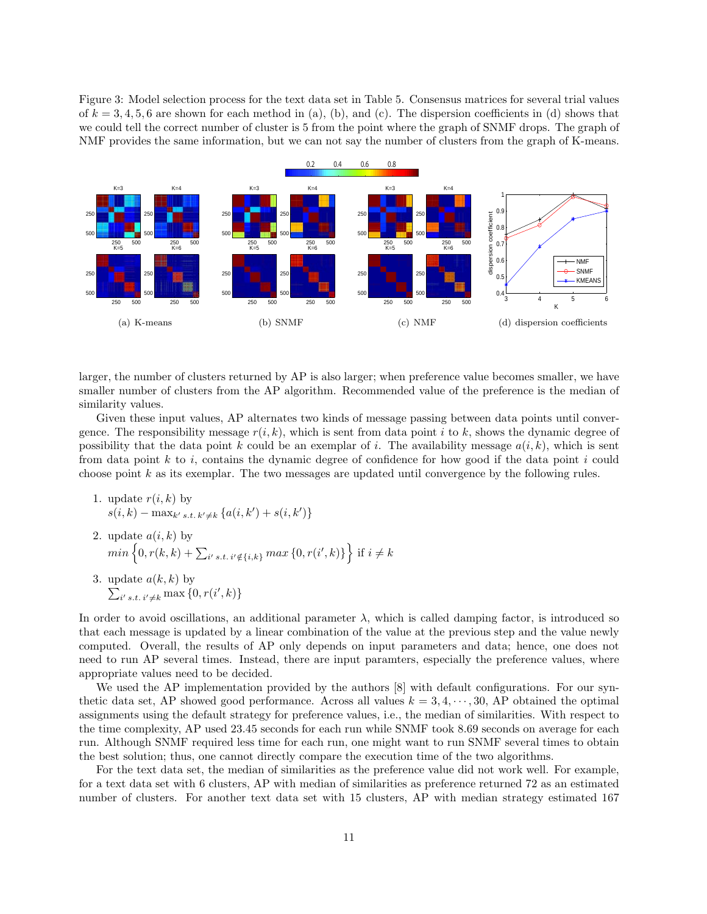Figure 3: Model selection process for the text data set in Table 5. Consensus matrices for several trial values of  $k = 3, 4, 5, 6$  are shown for each method in (a), (b), and (c). The dispersion coefficients in (d) shows that we could tell the correct number of cluster is 5 from the point where the graph of SNMF drops. The graph of NMF provides the same information, but we can not say the number of clusters from the graph of K-means.



larger, the number of clusters returned by AP is also larger; when preference value becomes smaller, we have smaller number of clusters from the AP algorithm. Recommended value of the preference is the median of similarity values.

Given these input values, AP alternates two kinds of message passing between data points until convergence. The responsibility message  $r(i, k)$ , which is sent from data point i to k, shows the dynamic degree of possibility that the data point k could be an exemplar of i. The availability message  $a(i, k)$ , which is sent from data point k to i, contains the dynamic degree of confidence for how good if the data point i could choose point k as its exemplar. The two messages are updated until convergence by the following rules.

- 1. update  $r(i, k)$  by  $s(i, k) - \max_{k' s.t. k' \neq k} \{a(i, k') + s(i, k')\}$
- 2. update  $a(i, k)$  by  $min\left\{0, r(k, k) + \sum_{i' \text{ s.t. } i' \notin \{i,k\}} max\left\{0, r(i', k)\right\}\right\}$  if  $i \neq k$
- 3. update  $\sum$  $a(k, k)$  by  $_{i's.t. i' \neq k} \max\{0, r(i', k)\}\$

In order to avoid oscillations, an additional parameter  $\lambda$ , which is called damping factor, is introduced so that each message is updated by a linear combination of the value at the previous step and the value newly computed. Overall, the results of AP only depends on input parameters and data; hence, one does not need to run AP several times. Instead, there are input paramters, especially the preference values, where appropriate values need to be decided.

We used the AP implementation provided by the authors [8] with default configurations. For our synthetic data set, AP showed good performance. Across all values  $k = 3, 4, \dots, 30$ , AP obtained the optimal assignments using the default strategy for preference values, i.e., the median of similarities. With respect to the time complexity, AP used 23.45 seconds for each run while SNMF took 8.69 seconds on average for each run. Although SNMF required less time for each run, one might want to run SNMF several times to obtain the best solution; thus, one cannot directly compare the execution time of the two algorithms.

For the text data set, the median of similarities as the preference value did not work well. For example, for a text data set with 6 clusters, AP with median of similarities as preference returned 72 as an estimated number of clusters. For another text data set with 15 clusters, AP with median strategy estimated 167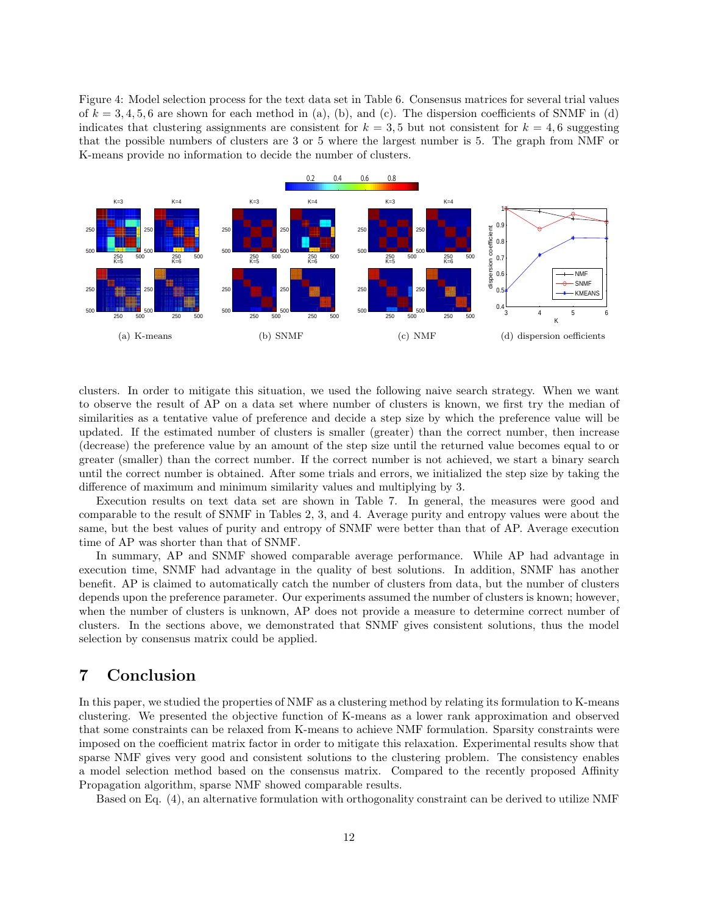Figure 4: Model selection process for the text data set in Table 6. Consensus matrices for several trial values of  $k = 3, 4, 5, 6$  are shown for each method in (a), (b), and (c). The dispersion coefficients of SNMF in (d) indicates that clustering assignments are consistent for  $k = 3, 5$  but not consistent for  $k = 4, 6$  suggesting that the possible numbers of clusters are 3 or 5 where the largest number is 5. The graph from NMF or K-means provide no information to decide the number of clusters.



clusters. In order to mitigate this situation, we used the following naive search strategy. When we want to observe the result of AP on a data set where number of clusters is known, we first try the median of similarities as a tentative value of preference and decide a step size by which the preference value will be updated. If the estimated number of clusters is smaller (greater) than the correct number, then increase (decrease) the preference value by an amount of the step size until the returned value becomes equal to or greater (smaller) than the correct number. If the correct number is not achieved, we start a binary search until the correct number is obtained. After some trials and errors, we initialized the step size by taking the difference of maximum and minimum similarity values and multiplying by 3.

Execution results on text data set are shown in Table 7. In general, the measures were good and comparable to the result of SNMF in Tables 2, 3, and 4. Average purity and entropy values were about the same, but the best values of purity and entropy of SNMF were better than that of AP. Average execution time of AP was shorter than that of SNMF.

In summary, AP and SNMF showed comparable average performance. While AP had advantage in execution time, SNMF had advantage in the quality of best solutions. In addition, SNMF has another benefit. AP is claimed to automatically catch the number of clusters from data, but the number of clusters depends upon the preference parameter. Our experiments assumed the number of clusters is known; however, when the number of clusters is unknown, AP does not provide a measure to determine correct number of clusters. In the sections above, we demonstrated that SNMF gives consistent solutions, thus the model selection by consensus matrix could be applied.

## 7 Conclusion

In this paper, we studied the properties of NMF as a clustering method by relating its formulation to K-means clustering. We presented the objective function of K-means as a lower rank approximation and observed that some constraints can be relaxed from K-means to achieve NMF formulation. Sparsity constraints were imposed on the coefficient matrix factor in order to mitigate this relaxation. Experimental results show that sparse NMF gives very good and consistent solutions to the clustering problem. The consistency enables a model selection method based on the consensus matrix. Compared to the recently proposed Affinity Propagation algorithm, sparse NMF showed comparable results.

Based on Eq. (4), an alternative formulation with orthogonality constraint can be derived to utilize NMF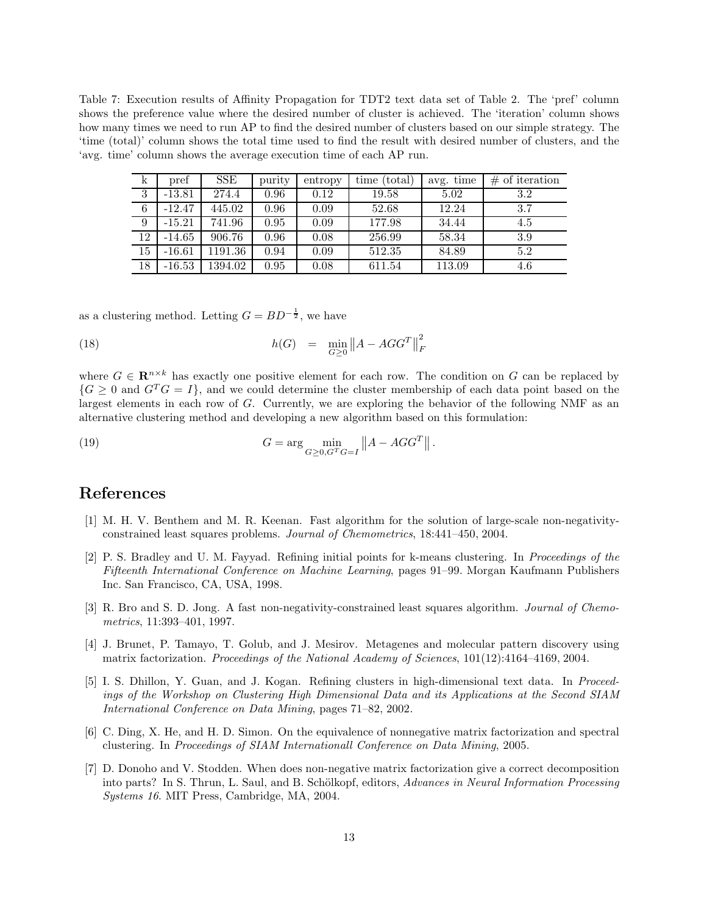Table 7: Execution results of Affinity Propagation for TDT2 text data set of Table 2. The 'pref' column shows the preference value where the desired number of cluster is achieved. The 'iteration' column shows how many times we need to run AP to find the desired number of clusters based on our simple strategy. The 'time (total)' column shows the total time used to find the result with desired number of clusters, and the 'avg. time' column shows the average execution time of each AP run.

| k               | pref     | <b>SSE</b> | purity | entropy | time (total) | avg. time | $\#$ of iteration |
|-----------------|----------|------------|--------|---------|--------------|-----------|-------------------|
| 3               | $-13.81$ | 274.4      | 0.96   | 0.12    | 19.58        | 5.02      | 3.2               |
| 6               | $-12.47$ | 445.02     | 0.96   | 0.09    | 52.68        | 12.24     | 3.7               |
| 9               | $-15.21$ | 741.96     | 0.95   | 0.09    | 177.98       | 34.44     | 4.5               |
| 12              | $-14.65$ | 906.76     | 0.96   | 0.08    | 256.99       | 58.34     | 3.9               |
| $\overline{15}$ | $-16.61$ | 1191.36    | 0.94   | 0.09    | 512.35       | 84.89     | 5.2               |
| 18              | $-16.53$ | 1394.02    | 0.95   | 0.08    | 611.54       | 113.09    | 4.6               |

as a clustering method. Letting  $G = BD^{-\frac{1}{2}}$ , we have

(18) 
$$
h(G) = \min_{G \ge 0} \|A - AGG^T\|_F^2
$$

where  $G \in \mathbb{R}^{n \times k}$  has exactly one positive element for each row. The condition on G can be replaced by  ${G \geq 0}$  and  $G<sup>T</sup>G = I$ , and we could determine the cluster membership of each data point based on the largest elements in each row of G. Currently, we are exploring the behavior of the following NMF as an alternative clustering method and developing a new algorithm based on this formulation:

(19) 
$$
G = \arg\min_{G \geq 0, G^T G = I} ||A - AGG^T||.
$$

### References

- [1] M. H. V. Benthem and M. R. Keenan. Fast algorithm for the solution of large-scale non-negativityconstrained least squares problems. Journal of Chemometrics, 18:441–450, 2004.
- [2] P. S. Bradley and U. M. Fayyad. Refining initial points for k-means clustering. In Proceedings of the Fifteenth International Conference on Machine Learning, pages 91–99. Morgan Kaufmann Publishers Inc. San Francisco, CA, USA, 1998.
- [3] R. Bro and S. D. Jong. A fast non-negativity-constrained least squares algorithm. Journal of Chemometrics, 11:393–401, 1997.
- [4] J. Brunet, P. Tamayo, T. Golub, and J. Mesirov. Metagenes and molecular pattern discovery using matrix factorization. Proceedings of the National Academy of Sciences, 101(12):4164–4169, 2004.
- [5] I. S. Dhillon, Y. Guan, and J. Kogan. Refining clusters in high-dimensional text data. In Proceedings of the Workshop on Clustering High Dimensional Data and its Applications at the Second SIAM International Conference on Data Mining, pages 71–82, 2002.
- [6] C. Ding, X. He, and H. D. Simon. On the equivalence of nonnegative matrix factorization and spectral clustering. In Proceedings of SIAM Internationall Conference on Data Mining, 2005.
- [7] D. Donoho and V. Stodden. When does non-negative matrix factorization give a correct decomposition into parts? In S. Thrun, L. Saul, and B. Schölkopf, editors, Advances in Neural Information Processing Systems 16. MIT Press, Cambridge, MA, 2004.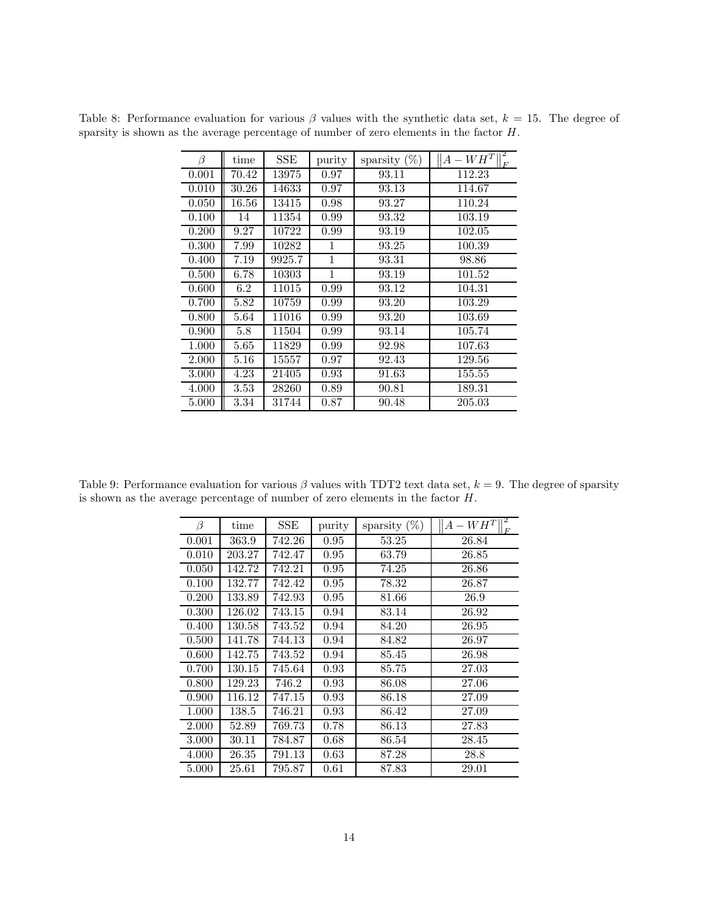| $\beta$ | time  | SSE                 | purity       | sparsity $(\%)$ | $\mathbf{z}$<br>$ A-WH^T $<br>E |
|---------|-------|---------------------|--------------|-----------------|---------------------------------|
| 0.001   | 70.42 | 13975               | 0.97         | 93.11           | 112.23                          |
| 0.010   | 30.26 | 14633               | 0.97         | 93.13           | 114.67                          |
| 0.050   | 16.56 | 13415               | 0.98         | 93.27           | 110.24                          |
| 0.100   | 14    | $\overline{1}$ 1354 | 0.99         | 93.32           | 103.19                          |
| 0.200   | 9.27  | 10722               | 0.99         | 93.19           | 102.05                          |
| 0.300   | 7.99  | 10282               | 1            | 93.25           | 100.39                          |
| 0.400   | 7.19  | 9925.7              | $\mathbf{1}$ | 93.31           | 98.86                           |
| 0.500   | 6.78  | 10303               | 1            | 93.19           | 101.52                          |
| 0.600   | 6.2   | 11015               | 0.99         | 93.12           | 104.31                          |
| 0.700   | 5.82  | 10759               | 0.99         | 93.20           | 103.29                          |
| 0.800   | 5.64  | 11016               | 0.99         | 93.20           | 103.69                          |
| 0.900   | 5.8   | 11504               | 0.99         | 93.14           | 105.74                          |
| 1.000   | 5.65  | 11829               | 0.99         | 92.98           | 107.63                          |
| 2.000   | 5.16  | 15557               | 0.97         | 92.43           | 129.56                          |
| 3.000   | 4.23  | 21405               | 0.93         | 91.63           | 155.55                          |
| 4.000   | 3.53  | 28260               | 0.89         | 90.81           | 189.31                          |
| 5.000   | 3.34  | 31744               | 0.87         | 90.48           | 205.03                          |

Table 8: Performance evaluation for various  $\beta$  values with the synthetic data set,  $k = 15$ . The degree of sparsity is shown as the average percentage of number of zero elements in the factor H.

Table 9: Performance evaluation for various  $\beta$  values with TDT2 text data set,  $k = 9$ . The degree of sparsity is shown as the average percentage of number of zero elements in the factor H.

| β     | time   | <b>SSE</b> | purity | sparsity $(\%)$ | $A-WH^T$<br>$F_{\rm}$ |
|-------|--------|------------|--------|-----------------|-----------------------|
| 0.001 | 363.9  | 742.26     | 0.95   | 53.25           | 26.84                 |
| 0.010 | 203.27 | 742.47     | 0.95   | 63.79           | 26.85                 |
| 0.050 | 142.72 | 742.21     | 0.95   | 74.25           | 26.86                 |
| 0.100 | 132.77 | 742.42     | 0.95   | 78.32           | 26.87                 |
| 0.200 | 133.89 | 742.93     | 0.95   | 81.66           | 26.9                  |
| 0.300 | 126.02 | 743.15     | 0.94   | 83.14           | 26.92                 |
| 0.400 | 130.58 | 743.52     | 0.94   | 84.20           | 26.95                 |
| 0.500 | 141.78 | 744.13     | 0.94   | 84.82           | 26.97                 |
| 0.600 | 142.75 | 743.52     | 0.94   | 85.45           | 26.98                 |
| 0.700 | 130.15 | 745.64     | 0.93   | 85.75           | 27.03                 |
| 0.800 | 129.23 | 746.2      | 0.93   | 86.08           | 27.06                 |
| 0.900 | 116.12 | 747.15     | 0.93   | 86.18           | 27.09                 |
| 1.000 | 138.5  | 746.21     | 0.93   | 86.42           | 27.09                 |
| 2.000 | 52.89  | 769.73     | 0.78   | 86.13           | 27.83                 |
| 3.000 | 30.11  | 784.87     | 0.68   | 86.54           | 28.45                 |
| 4.000 | 26.35  | 791.13     | 0.63   | 87.28           | 28.8                  |
| 5.000 | 25.61  | 795.87     | 0.61   | 87.83           | 29.01                 |